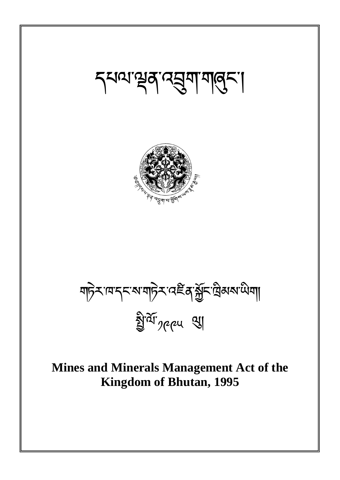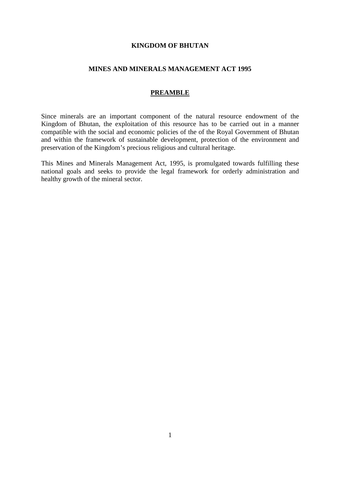#### **KINGDOM OF BHUTAN**

#### **MINES AND MINERALS MANAGEMENT ACT 1995**

## **PREAMBLE**

Since minerals are an important component of the natural resource endowment of the Kingdom of Bhutan, the exploitation of this resource has to be carried out in a manner compatible with the social and economic policies of the of the Royal Government of Bhutan and within the framework of sustainable development, protection of the environment and preservation of the Kingdom's precious religious and cultural heritage.

This Mines and Minerals Management Act, 1995, is promulgated towards fulfilling these national goals and seeks to provide the legal framework for orderly administration and healthy growth of the mineral sector.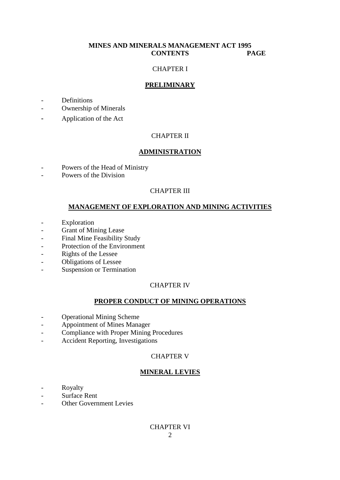# **MINES AND MINERALS MANAGEMENT ACT 1995 CONTENTS PAGE**

### CHAPTER I

## **PRELIMINARY**

- Definitions
- Ownership of Minerals
- Application of the Act

## CHAPTER II

#### **ADMINISTRATION**

- Powers of the Head of Ministry
- Powers of the Division

## CHAPTER III

### **MANAGEMENT OF EXPLORATION AND MINING ACTIVITIES**

- Exploration
- Grant of Mining Lease
- Final Mine Feasibility Study
- Protection of the Environment
- Rights of the Lessee
- Obligations of Lessee
- Suspension or Termination

### CHAPTER IV

#### **PROPER CONDUCT OF MINING OPERATIONS**

- Operational Mining Scheme
- Appointment of Mines Manager
- Compliance with Proper Mining Procedures
- Accident Reporting, Investigations

## CHAPTER V

# **MINERAL LEVIES**

- Royalty
- Surface Rent
- Other Government Levies

# CHAPTER VI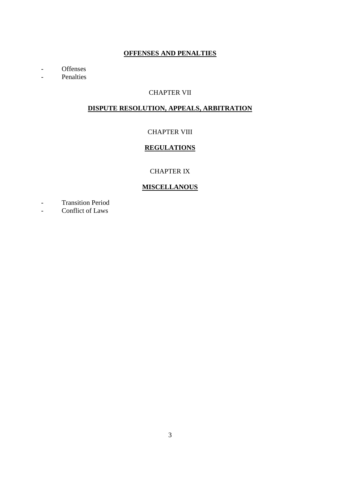# **OFFENSES AND PENALTIES**

- Offenses
- Penalties

# CHAPTER VII

# **DISPUTE RESOLUTION, APPEALS, ARBITRATION**

# CHAPTER VIII

# **REGULATIONS**

# CHAPTER IX

# **MISCELLANOUS**

- Transition Period
- Conflict of Laws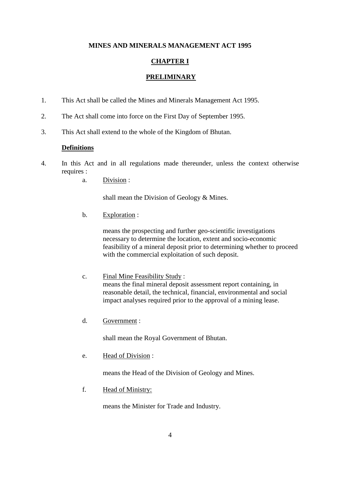## **MINES AND MINERALS MANAGEMENT ACT 1995**

# **CHAPTER I**

# **PRELIMINARY**

- 1. This Act shall be called the Mines and Minerals Management Act 1995.
- 2. The Act shall come into force on the First Day of September 1995.
- 3. This Act shall extend to the whole of the Kingdom of Bhutan.

## **Definitions**

- 4. In this Act and in all regulations made thereunder, unless the context otherwise requires :
	- a. Division :

shall mean the Division of Geology & Mines.

b. Exploration :

 means the prospecting and further geo-scientific investigations necessary to determine the location, extent and socio-economic feasibility of a mineral deposit prior to determining whether to proceed with the commercial exploitation of such deposit.

- c. Final Mine Feasibility Study : means the final mineral deposit assessment report containing, in reasonable detail, the technical, financial, environmental and social impact analyses required prior to the approval of a mining lease.
- d. Government :

shall mean the Royal Government of Bhutan.

e. Head of Division :

means the Head of the Division of Geology and Mines.

f. Head of Ministry:

means the Minister for Trade and Industry.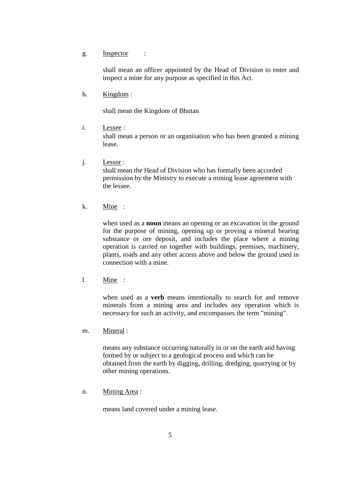g. Inspector :

shall mean an officer appointed by the Head of Division to enter and inspect a mine for any purpose as specified in this Act.

h. Kingdom :

shall mean the Kingdom of Bhutan

i. Lessee :

shall mean a person or an organisation who has been granted a mining lease.

j. Lessor :

 shall mean the Head of Division who has formally been accorded permission by the Ministry to execute a mining lease agreement with the lessee.

k. Mine :

when used as a **noun** means an opening or an excavation in the ground for the purpose of mining, opening up or proving a mineral bearing substance or ore deposit, and includes the place where a mining operation is carried on together with buildings, premises, machinery, plants, roads and any other access above and below the ground used in connection with a mine.

l. Mine :

when used as a **verb** means intentionally to search for and remove minerals from a mining area and includes any operation which is necessary for such an activity, and encompasses the term "mining".

m. Mineral :

 means any substance occurring naturally in or on the earth and having formed by or subject to a geological process and which can be obtained from the earth by digging, drilling, dredging, quarrying or by other mining operations.

n. Mining Area :

means land covered under a mining lease.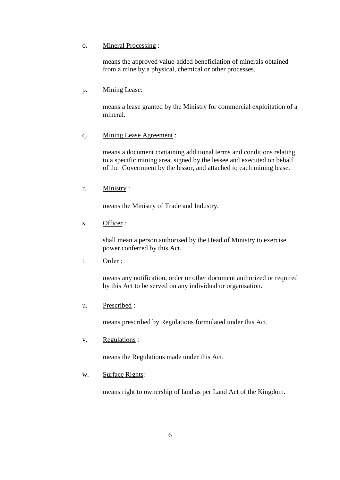#### o. Mineral Processing :

 means the approved value-added beneficiation of minerals obtained from a mine by a physical, chemical or other processes.

#### p. Mining Lease:

 means a lease granted by the Ministry for commercial exploitation of a mineral.

#### q. Mining Lease Agreement :

 means a document containing additional terms and conditions relating to a specific mining area, signed by the lessee and executed on behalf of the Government by the lessor, and attached to each mining lease.

## r. Ministry :

means the Ministry of Trade and Industry.

s. Officer :

 shall mean a person authorised by the Head of Ministry to exercise power conferred by this Act.

t. Order :

 means any notification, order or other document authorized or required by this Act to be served on any individual or organisation.

u. Prescribed :

means prescribed by Regulations formulated under this Act.

v. Regulations :

means the Regulations made under this Act.

w. Surface Rights:

means right to ownership of land as per Land Act of the Kingdom.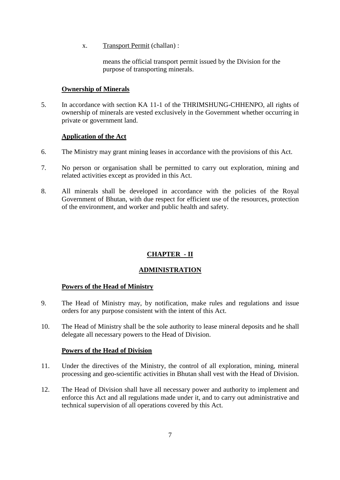x. Transport Permit (challan) :

 means the official transport permit issued by the Division for the purpose of transporting minerals.

## **Ownership of Minerals**

5. In accordance with section KA 11-1 of the THRIMSHUNG-CHHENPO, all rights of ownership of minerals are vested exclusively in the Government whether occurring in private or government land.

# **Application of the Act**

- 6. The Ministry may grant mining leases in accordance with the provisions of this Act.
- 7. No person or organisation shall be permitted to carry out exploration, mining and related activities except as provided in this Act.
- 8. All minerals shall be developed in accordance with the policies of the Royal Government of Bhutan, with due respect for efficient use of the resources, protection of the environment, and worker and public health and safety.

# **CHAPTER - II**

# **ADMINISTRATION**

# **Powers of the Head of Ministry**

- 9. The Head of Ministry may, by notification, make rules and regulations and issue orders for any purpose consistent with the intent of this Act.
- 10. The Head of Ministry shall be the sole authority to lease mineral deposits and he shall delegate all necessary powers to the Head of Division.

## **Powers of the Head of Division**

- 11. Under the directives of the Ministry, the control of all exploration, mining, mineral processing and geo-scientific activities in Bhutan shall vest with the Head of Division.
- 12. The Head of Division shall have all necessary power and authority to implement and enforce this Act and all regulations made under it, and to carry out administrative and technical supervision of all operations covered by this Act.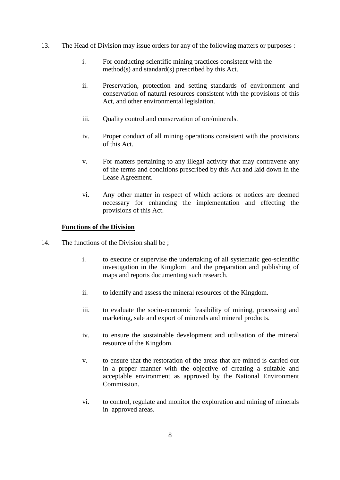- 13. The Head of Division may issue orders for any of the following matters or purposes :
	- i. For conducting scientific mining practices consistent with the method(s) and standard(s) prescribed by this Act.
	- ii. Preservation, protection and setting standards of environment and conservation of natural resources consistent with the provisions of this Act, and other environmental legislation.
	- iii. Quality control and conservation of ore/minerals.
	- iv. Proper conduct of all mining operations consistent with the provisions of this Act.
	- v. For matters pertaining to any illegal activity that may contravene any of the terms and conditions prescribed by this Act and laid down in the Lease Agreement.
	- vi. Any other matter in respect of which actions or notices are deemed necessary for enhancing the implementation and effecting the provisions of this Act.

# **Functions of the Division**

- 14. The functions of the Division shall be ;
	- i. to execute or supervise the undertaking of all systematic geo-scientific investigation in the Kingdom and the preparation and publishing of maps and reports documenting such research.
	- ii. to identify and assess the mineral resources of the Kingdom.
	- iii. to evaluate the socio-economic feasibility of mining, processing and marketing, sale and export of minerals and mineral products.
	- iv. to ensure the sustainable development and utilisation of the mineral resource of the Kingdom.
	- v. to ensure that the restoration of the areas that are mined is carried out in a proper manner with the objective of creating a suitable and acceptable environment as approved by the National Environment Commission.
	- vi. to control, regulate and monitor the exploration and mining of minerals in approved areas.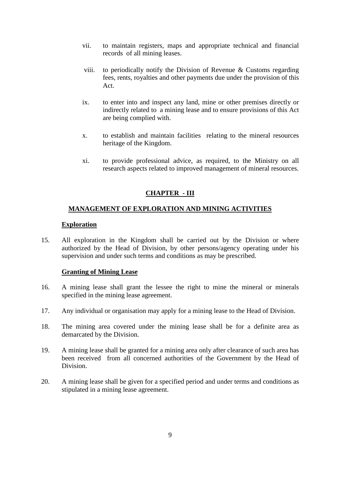- vii. to maintain registers, maps and appropriate technical and financial records of all mining leases.
- viii. to periodically notify the Division of Revenue  $\&$  Customs regarding fees, rents, royalties and other payments due under the provision of this Act.
- ix. to enter into and inspect any land, mine or other premises directly or indirectly related to a mining lease and to ensure provisions of this Act are being complied with.
- x. to establish and maintain facilities relating to the mineral resources heritage of the Kingdom.
- xi. to provide professional advice, as required, to the Ministry on all research aspects related to improved management of mineral resources.

# **CHAPTER - III**

## **MANAGEMENT OF EXPLORATION AND MINING ACTIVITIES**

#### **Exploration**

15. All exploration in the Kingdom shall be carried out by the Division or where authorized by the Head of Division, by other persons/agency operating under his supervision and under such terms and conditions as may be prescribed.

#### **Granting of Mining Lease**

- 16. A mining lease shall grant the lessee the right to mine the mineral or minerals specified in the mining lease agreement.
- 17. Any individual or organisation may apply for a mining lease to the Head of Division.
- 18. The mining area covered under the mining lease shall be for a definite area as demarcated by the Division.
- 19. A mining lease shall be granted for a mining area only after clearance of such area has been received from all concerned authorities of the Government by the Head of Division.
- 20. A mining lease shall be given for a specified period and under terms and conditions as stipulated in a mining lease agreement.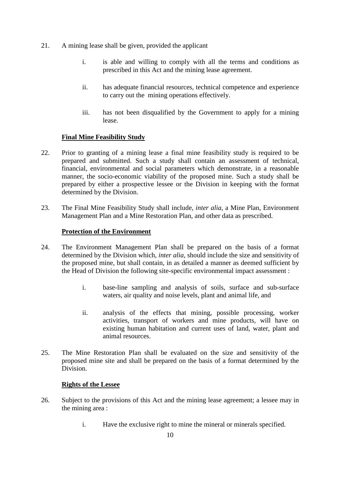- 21. A mining lease shall be given, provided the applicant
	- i. is able and willing to comply with all the terms and conditions as prescribed in this Act and the mining lease agreement.
	- ii. has adequate financial resources, technical competence and experience to carry out the mining operations effectively.
	- iii. has not been disqualified by the Government to apply for a mining lease.

# **Final Mine Feasibility Study**

- 22. Prior to granting of a mining lease a final mine feasibility study is required to be prepared and submitted. Such a study shall contain an assessment of technical, financial, environmental and social parameters which demonstrate, in a reasonable manner, the socio-economic viability of the proposed mine. Such a study shall be prepared by either a prospective lessee or the Division in keeping with the format determined by the Division.
- 23. The Final Mine Feasibility Study shall include, *inter alia*, a Mine Plan, Environment Management Plan and a Mine Restoration Plan, and other data as prescribed.

## **Protection of the Environment**

- 24. The Environment Management Plan shall be prepared on the basis of a format determined by the Division which, *inter alia*, should include the size and sensitivity of the proposed mine, but shall contain, in as detailed a manner as deemed sufficient by the Head of Division the following site-specific environmental impact assessment :
	- i. base-line sampling and analysis of soils, surface and sub-surface waters, air quality and noise levels, plant and animal life, and
	- ii. analysis of the effects that mining, possible processing, worker activities, transport of workers and mine products, will have on existing human habitation and current uses of land, water, plant and animal resources.
- 25. The Mine Restoration Plan shall be evaluated on the size and sensitivity of the proposed mine site and shall be prepared on the basis of a format determined by the Division.

## **Rights of the Lessee**

- 26. Subject to the provisions of this Act and the mining lease agreement; a lessee may in the mining area :
	- i. Have the exclusive right to mine the mineral or minerals specified.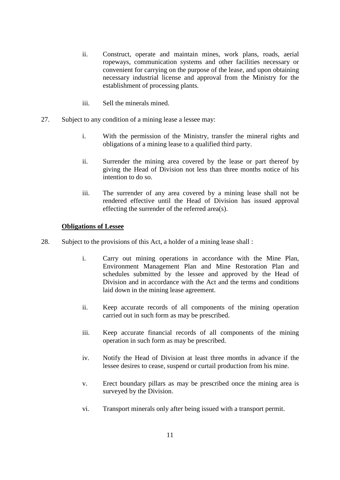- ii. Construct, operate and maintain mines, work plans, roads, aerial ropeways, communication systems and other facilities necessary or convenient for carrying on the purpose of the lease, and upon obtaining necessary industrial license and approval from the Ministry for the establishment of processing plants.
- iii. Sell the minerals mined.
- 27. Subject to any condition of a mining lease a lessee may:
	- i. With the permission of the Ministry, transfer the mineral rights and obligations of a mining lease to a qualified third party.
	- ii. Surrender the mining area covered by the lease or part thereof by giving the Head of Division not less than three months notice of his intention to do so.
	- iii. The surrender of any area covered by a mining lease shall not be rendered effective until the Head of Division has issued approval effecting the surrender of the referred area(s).

#### **Obligations of Lessee**

- 28. Subject to the provisions of this Act, a holder of a mining lease shall :
	- i. Carry out mining operations in accordance with the Mine Plan, Environment Management Plan and Mine Restoration Plan and schedules submitted by the lessee and approved by the Head of Division and in accordance with the Act and the terms and conditions laid down in the mining lease agreement.
	- ii. Keep accurate records of all components of the mining operation carried out in such form as may be prescribed.
	- iii. Keep accurate financial records of all components of the mining operation in such form as may be prescribed.
	- iv. Notify the Head of Division at least three months in advance if the lessee desires to cease, suspend or curtail production from his mine.
	- v. Erect boundary pillars as may be prescribed once the mining area is surveyed by the Division.
	- vi. Transport minerals only after being issued with a transport permit.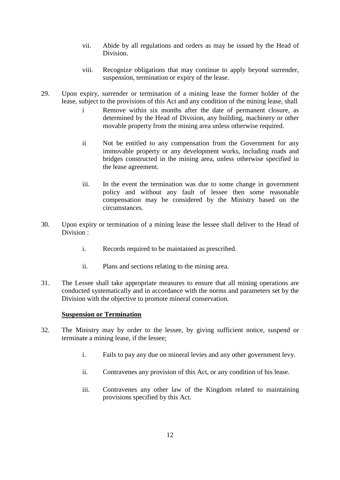- vii. Abide by all regulations and orders as may be issued by the Head of Division.
- viii. Recognize obligations that may continue to apply beyond surrender, suspension, termination or expiry of the lease.
- 29. Upon expiry, surrender or termination of a mining lease the former holder of the lease, subject to the provisions of this Act and any condition of the mining lease, shall
	- i Remove within six months after the date of permanent closure, as determined by the Head of Division, any building, machinery or other movable property from the mining area unless otherwise required.
	- ii Not be entitled to any compensation from the Government for any immovable property or any development works, including roads and bridges constructed in the mining area, unless otherwise specified in the lease agreement.
	- iii. In the event the termination was due to some change in government policy and without any fault of lessee then some reasonable compensation may be considered by the Ministry based on the circumstances.
- 30. Upon expiry or termination of a mining lease the lessee shall deliver to the Head of Division :
	- i. Records required to be maintained as prescribed.
	- ii. Plans and sections relating to the mining area.
- 31. The Lessee shall take appropriate measures to ensure that all mining operations are conducted systematically and in accordance with the norms and parameters set by the Division with the objective to promote mineral conservation.

## **Suspension or Termination**

- 32. The Ministry may by order to the lessee, by giving sufficient notice, suspend or terminate a mining lease, if the lessee;
	- i. Fails to pay any due on mineral levies and any other government levy.
	- ii. Contravenes any provision of this Act, or any condition of his lease.
	- iii. Contravenes any other law of the Kingdom related to maintaining provisions specified by this Act.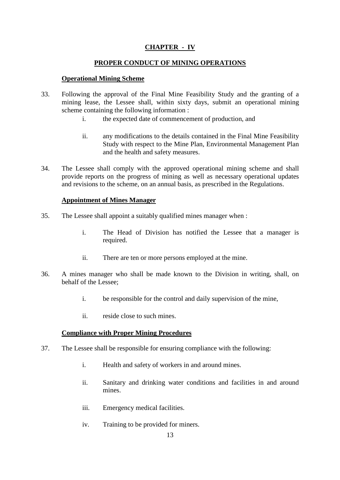# **CHAPTER - IV**

## **PROPER CONDUCT OF MINING OPERATIONS**

## **Operational Mining Scheme**

- 33. Following the approval of the Final Mine Feasibility Study and the granting of a mining lease, the Lessee shall, within sixty days, submit an operational mining scheme containing the following information :
	- i. the expected date of commencement of production, and
	- ii. any modifications to the details contained in the Final Mine Feasibility Study with respect to the Mine Plan, Environmental Management Plan and the health and safety measures.
- 34. The Lessee shall comply with the approved operational mining scheme and shall provide reports on the progress of mining as well as necessary operational updates and revisions to the scheme, on an annual basis, as prescribed in the Regulations.

## **Appointment of Mines Manager**

- 35. The Lessee shall appoint a suitably qualified mines manager when :
	- i. The Head of Division has notified the Lessee that a manager is required.
	- ii. There are ten or more persons employed at the mine.
- 36. A mines manager who shall be made known to the Division in writing, shall, on behalf of the Lessee;
	- i. be responsible for the control and daily supervision of the mine,
	- ii. reside close to such mines.

#### **Compliance with Proper Mining Procedures**

- 37. The Lessee shall be responsible for ensuring compliance with the following:
	- i. Health and safety of workers in and around mines.
	- ii. Sanitary and drinking water conditions and facilities in and around mines.
	- iii. Emergency medical facilities.
	- iv. Training to be provided for miners.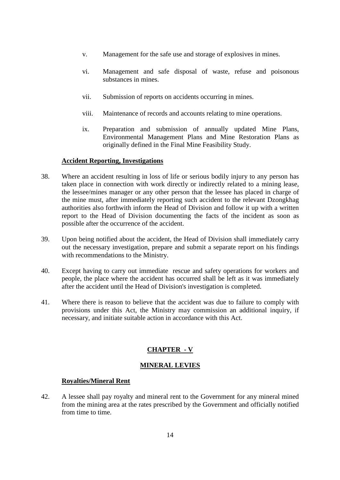- v. Management for the safe use and storage of explosives in mines.
- vi. Management and safe disposal of waste, refuse and poisonous substances in mines.
- vii. Submission of reports on accidents occurring in mines.
- viii. Maintenance of records and accounts relating to mine operations.
- ix. Preparation and submission of annually updated Mine Plans, Environmental Management Plans and Mine Restoration Plans as originally defined in the Final Mine Feasibility Study.

## **Accident Reporting, Investigations**

- 38. Where an accident resulting in loss of life or serious bodily injury to any person has taken place in connection with work directly or indirectly related to a mining lease, the lessee/mines manager or any other person that the lessee has placed in charge of the mine must, after immediately reporting such accident to the relevant Dzongkhag authorities also forthwith inform the Head of Division and follow it up with a written report to the Head of Division documenting the facts of the incident as soon as possible after the occurrence of the accident.
- 39. Upon being notified about the accident, the Head of Division shall immediately carry out the necessary investigation, prepare and submit a separate report on his findings with recommendations to the Ministry.
- 40. Except having to carry out immediate rescue and safety operations for workers and people, the place where the accident has occurred shall be left as it was immediately after the accident until the Head of Division's investigation is completed.
- 41. Where there is reason to believe that the accident was due to failure to comply with provisions under this Act, the Ministry may commission an additional inquiry, if necessary, and initiate suitable action in accordance with this Act.

# **CHAPTER - V**

## **MINERAL LEVIES**

## **Royalties/Mineral Rent**

42. A lessee shall pay royalty and mineral rent to the Government for any mineral mined from the mining area at the rates prescribed by the Government and officially notified from time to time.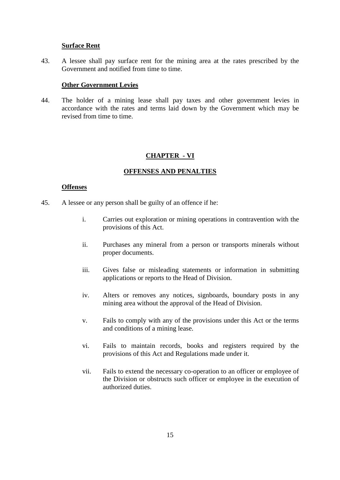#### **Surface Rent**

43. A lessee shall pay surface rent for the mining area at the rates prescribed by the Government and notified from time to time.

#### **Other Government Levies**

44. The holder of a mining lease shall pay taxes and other government levies in accordance with the rates and terms laid down by the Government which may be revised from time to time.

#### **CHAPTER - VI**

#### **OFFENSES AND PENALTIES**

#### **Offenses**

- 45. A lessee or any person shall be guilty of an offence if he:
	- i. Carries out exploration or mining operations in contravention with the provisions of this Act.
	- ii. Purchases any mineral from a person or transports minerals without proper documents.
	- iii. Gives false or misleading statements or information in submitting applications or reports to the Head of Division.
	- iv. Alters or removes any notices, signboards, boundary posts in any mining area without the approval of the Head of Division.
	- v. Fails to comply with any of the provisions under this Act or the terms and conditions of a mining lease.
	- vi. Fails to maintain records, books and registers required by the provisions of this Act and Regulations made under it.
	- vii. Fails to extend the necessary co-operation to an officer or employee of the Division or obstructs such officer or employee in the execution of authorized duties.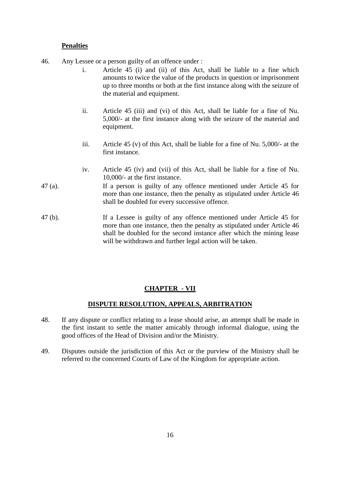## **Penalties**

- 46. Any Lessee or a person guilty of an offence under :
	- i. Article 45 (i) and (ii) of this Act, shall be liable to a fine which amounts to twice the value of the products in question or imprisonment up to three months or both at the first instance along with the seizure of the material and equipment.
	- ii. Article 45 (iii) and (vi) of this Act, shall be liable for a fine of Nu. 5,000/- at the first instance along with the seizure of the material and equipment.
	- iii. Article 45 (v) of this Act, shall be liable for a fine of Nu. 5,000/- at the first instance.
	- iv. Article 45 (iv) and (vii) of this Act, shall be liable for a fine of Nu. 10,000/- at the first instance.
- 47 (a). If a person is guilty of any offence mentioned under Article 45 for more than one instance, then the penalty as stipulated under Article 46 shall be doubled for every successive offence.
- 47 (b). If a Lessee is guilty of any offence mentioned under Article 45 for more than one instance, then the penalty as stipulated under Article 46 shall be doubled for the second instance after which the mining lease will be withdrawn and further legal action will be taken.

#### **CHAPTER - VII**

#### **DISPUTE RESOLUTION, APPEALS, ARBITRATION**

- 48. If any dispute or conflict relating to a lease should arise, an attempt shall be made in the first instant to settle the matter amicably through informal dialogue, using the good offices of the Head of Division and/or the Ministry.
- 49. Disputes outside the jurisdiction of this Act or the purview of the Ministry shall be referred to the concerned Courts of Law of the Kingdom for appropriate action.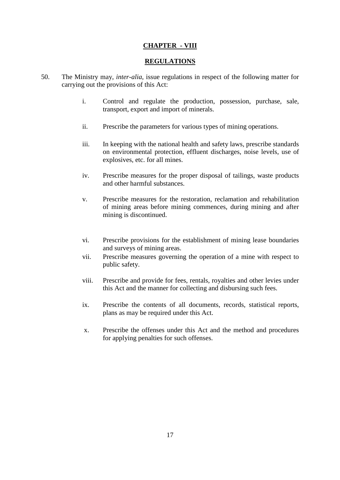# **CHAPTER - VIII**

### **REGULATIONS**

- 50. The Ministry may, *inter-alia*, issue regulations in respect of the following matter for carrying out the provisions of this Act:
	- i. Control and regulate the production, possession, purchase, sale, transport, export and import of minerals.
	- ii. Prescribe the parameters for various types of mining operations.
	- iii. In keeping with the national health and safety laws, prescribe standards on environmental protection, effluent discharges, noise levels, use of explosives, etc. for all mines.
	- iv. Prescribe measures for the proper disposal of tailings, waste products and other harmful substances.
	- v. Prescribe measures for the restoration, reclamation and rehabilitation of mining areas before mining commences, during mining and after mining is discontinued.
	- vi. Prescribe provisions for the establishment of mining lease boundaries and surveys of mining areas.
	- vii. Prescribe measures governing the operation of a mine with respect to public safety.
	- viii. Prescribe and provide for fees, rentals, royalties and other levies under this Act and the manner for collecting and disbursing such fees.
	- ix. Prescribe the contents of all documents, records, statistical reports, plans as may be required under this Act.
	- x. Prescribe the offenses under this Act and the method and procedures for applying penalties for such offenses.